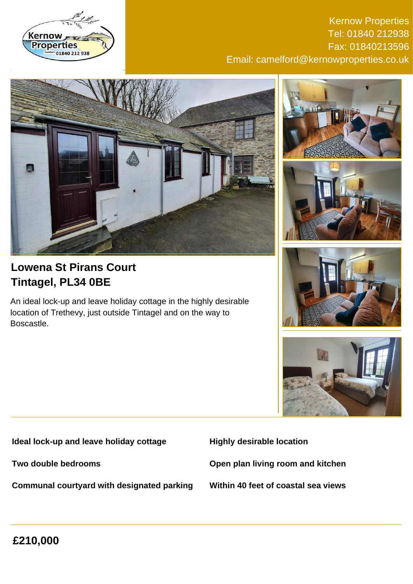

Kernow Properties Tel: 01840 212938 Fax: 01840213596 Email: camelford@kernowproperties.co.uk



# **Lowena St Pirans Court Tintagel, PL34 0BE**

An ideal lock-up and leave holiday cottage in the highly desirable location of Trethevy, just outside Tintagel and on the way to Boscastle.









**Ideal lock-up and leave holiday cottage**

**Two double bedrooms**

**Communal courtyard with designated parking**

**Highly desirable location**

**Open plan living room and kitchen**

**Within 40 feet of coastal sea views**